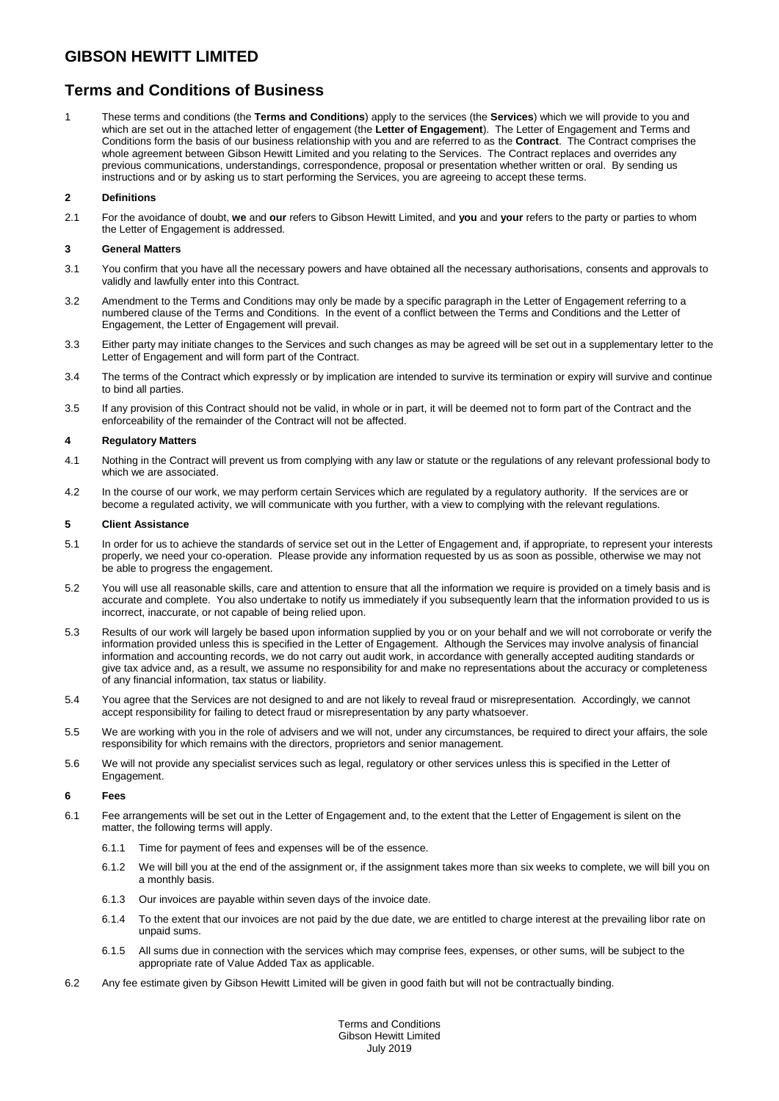# **Terms and Conditions of Business**

1 These terms and conditions (the **Terms and Conditions**) apply to the services (the **Services**) which we will provide to you and which are set out in the attached letter of engagement (the **Letter of Engagement**). The Letter of Engagement and Terms and Conditions form the basis of our business relationship with you and are referred to as the **Contract**. The Contract comprises the whole agreement between Gibson Hewitt Limited and you relating to the Services. The Contract replaces and overrides any previous communications, understandings, correspondence, proposal or presentation whether written or oral. By sending us instructions and or by asking us to start performing the Services, you are agreeing to accept these terms.

## **2 Definitions**

2.1 For the avoidance of doubt, **we** and **our** refers to Gibson Hewitt Limited, and **you** and **your** refers to the party or parties to whom the Letter of Engagement is addressed.

## **3 General Matters**

- 3.1 You confirm that you have all the necessary powers and have obtained all the necessary authorisations, consents and approvals to validly and lawfully enter into this Contract.
- 3.2 Amendment to the Terms and Conditions may only be made by a specific paragraph in the Letter of Engagement referring to a numbered clause of the Terms and Conditions. In the event of a conflict between the Terms and Conditions and the Letter of Engagement, the Letter of Engagement will prevail.
- 3.3 Either party may initiate changes to the Services and such changes as may be agreed will be set out in a supplementary letter to the Letter of Engagement and will form part of the Contract.
- 3.4 The terms of the Contract which expressly or by implication are intended to survive its termination or expiry will survive and continue to bind all parties.
- 3.5 If any provision of this Contract should not be valid, in whole or in part, it will be deemed not to form part of the Contract and the enforceability of the remainder of the Contract will not be affected.

## **4 Regulatory Matters**

- 4.1 Nothing in the Contract will prevent us from complying with any law or statute or the regulations of any relevant professional body to which we are associated.
- 4.2 In the course of our work, we may perform certain Services which are regulated by a regulatory authority. If the services are or become a regulated activity, we will communicate with you further, with a view to complying with the relevant regulations.

## **5 Client Assistance**

- 5.1 In order for us to achieve the standards of service set out in the Letter of Engagement and, if appropriate, to represent your interests properly, we need your co-operation. Please provide any information requested by us as soon as possible, otherwise we may not be able to progress the engagement.
- 5.2 You will use all reasonable skills, care and attention to ensure that all the information we require is provided on a timely basis and is accurate and complete. You also undertake to notify us immediately if you subsequently learn that the information provided to us is incorrect, inaccurate, or not capable of being relied upon.
- 5.3 Results of our work will largely be based upon information supplied by you or on your behalf and we will not corroborate or verify the information provided unless this is specified in the Letter of Engagement. Although the Services may involve analysis of financial information and accounting records, we do not carry out audit work, in accordance with generally accepted auditing standards or give tax advice and, as a result, we assume no responsibility for and make no representations about the accuracy or completeness of any financial information, tax status or liability.
- 5.4 You agree that the Services are not designed to and are not likely to reveal fraud or misrepresentation. Accordingly, we cannot accept responsibility for failing to detect fraud or misrepresentation by any party whatsoever.
- 5.5 We are working with you in the role of advisers and we will not, under any circumstances, be required to direct your affairs, the sole responsibility for which remains with the directors, proprietors and senior management.
- 5.6 We will not provide any specialist services such as legal, regulatory or other services unless this is specified in the Letter of Engagement.

## **6 Fees**

- 6.1 Fee arrangements will be set out in the Letter of Engagement and, to the extent that the Letter of Engagement is silent on the matter, the following terms will apply.
	- 6.1.1 Time for payment of fees and expenses will be of the essence.
	- 6.1.2 We will bill you at the end of the assignment or, if the assignment takes more than six weeks to complete, we will bill you on a monthly basis.
	- 6.1.3 Our invoices are payable within seven days of the invoice date.
	- 6.1.4 To the extent that our invoices are not paid by the due date, we are entitled to charge interest at the prevailing libor rate on unpaid sums.
	- 6.1.5 All sums due in connection with the services which may comprise fees, expenses, or other sums, will be subject to the appropriate rate of Value Added Tax as applicable.
- 6.2 Any fee estimate given by Gibson Hewitt Limited will be given in good faith but will not be contractually binding.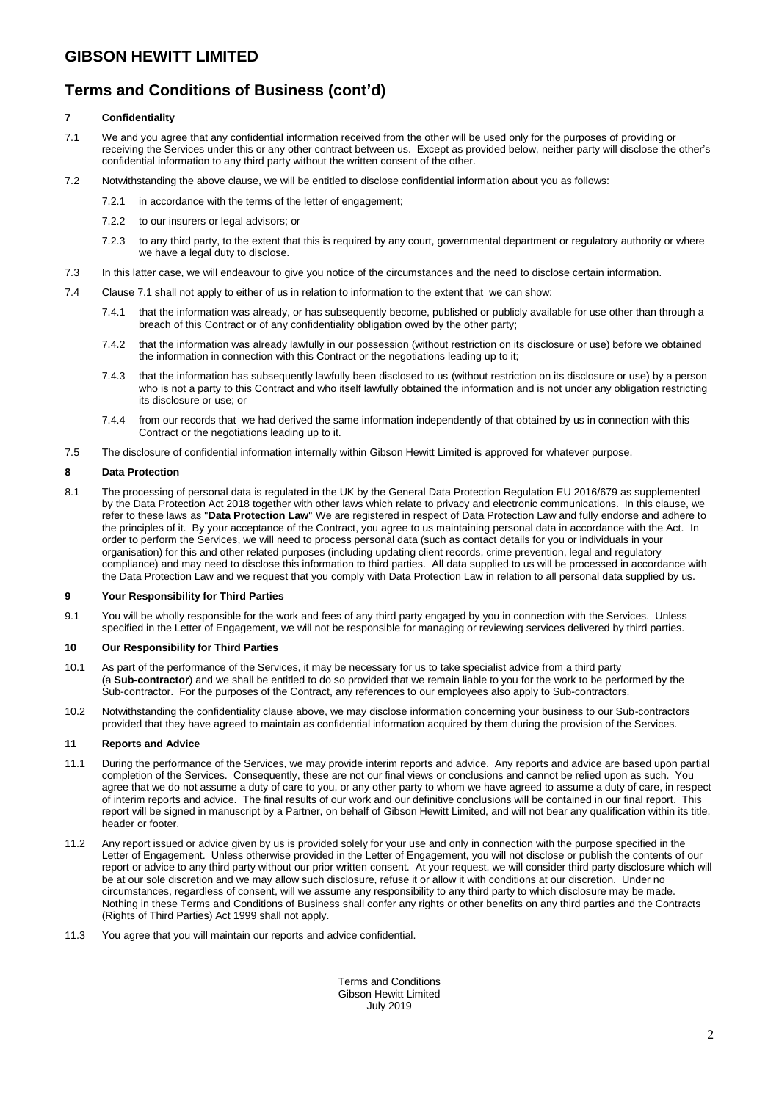# **Terms and Conditions of Business (cont'd)**

## **7 Confidentiality**

- 7.1 We and you agree that any confidential information received from the other will be used only for the purposes of providing or receiving the Services under this or any other contract between us. Except as provided below, neither party will disclose the other's confidential information to any third party without the written consent of the other.
- 7.2 Notwithstanding the above clause, we will be entitled to disclose confidential information about you as follows:
	- 7.2.1 in accordance with the terms of the letter of engagement;
		- 7.2.2 to our insurers or legal advisors; or
		- 7.2.3 to any third party, to the extent that this is required by any court, governmental department or regulatory authority or where we have a legal duty to disclose.
- 7.3 In this latter case, we will endeavour to give you notice of the circumstances and the need to disclose certain information.
- 7.4 Clause 7.1 shall not apply to either of us in relation to information to the extent that we can show:
	- 7.4.1 that the information was already, or has subsequently become, published or publicly available for use other than through a breach of this Contract or of any confidentiality obligation owed by the other party;
	- 7.4.2 that the information was already lawfully in our possession (without restriction on its disclosure or use) before we obtained the information in connection with this Contract or the negotiations leading up to it;
	- 7.4.3 that the information has subsequently lawfully been disclosed to us (without restriction on its disclosure or use) by a person who is not a party to this Contract and who itself lawfully obtained the information and is not under any obligation restricting its disclosure or use; or
	- 7.4.4 from our records that we had derived the same information independently of that obtained by us in connection with this Contract or the negotiations leading up to it.
- 7.5 The disclosure of confidential information internally within Gibson Hewitt Limited is approved for whatever purpose.

### **8 Data Protection**

8.1 The processing of personal data is regulated in the UK by the General Data Protection Regulation EU 2016/679 as supplemented by the Data Protection Act 2018 together with other laws which relate to privacy and electronic communications. In this clause, we refer to these laws as "**Data Protection Law**" We are registered in respect of Data Protection Law and fully endorse and adhere to the principles of it. By your acceptance of the Contract, you agree to us maintaining personal data in accordance with the Act. In order to perform the Services, we will need to process personal data (such as contact details for you or individuals in your organisation) for this and other related purposes (including updating client records, crime prevention, legal and regulatory compliance) and may need to disclose this information to third parties. All data supplied to us will be processed in accordance with the Data Protection Law and we request that you comply with Data Protection Law in relation to all personal data supplied by us.

### **9 Your Responsibility for Third Parties**

9.1 You will be wholly responsible for the work and fees of any third party engaged by you in connection with the Services. Unless specified in the Letter of Engagement, we will not be responsible for managing or reviewing services delivered by third parties.

## **10 Our Responsibility for Third Parties**

- 10.1 As part of the performance of the Services, it may be necessary for us to take specialist advice from a third party (a **Sub-contractor**) and we shall be entitled to do so provided that we remain liable to you for the work to be performed by the Sub-contractor. For the purposes of the Contract, any references to our employees also apply to Sub-contractors.
- 10.2 Notwithstanding the confidentiality clause above, we may disclose information concerning your business to our Sub-contractors provided that they have agreed to maintain as confidential information acquired by them during the provision of the Services.

### **11 Reports and Advice**

- 11.1 During the performance of the Services, we may provide interim reports and advice. Any reports and advice are based upon partial completion of the Services. Consequently, these are not our final views or conclusions and cannot be relied upon as such. You agree that we do not assume a duty of care to you, or any other party to whom we have agreed to assume a duty of care, in respect of interim reports and advice. The final results of our work and our definitive conclusions will be contained in our final report. This report will be signed in manuscript by a Partner, on behalf of Gibson Hewitt Limited, and will not bear any qualification within its title, header or footer.
- 11.2 Any report issued or advice given by us is provided solely for your use and only in connection with the purpose specified in the Letter of Engagement. Unless otherwise provided in the Letter of Engagement, you will not disclose or publish the contents of our report or advice to any third party without our prior written consent. At your request, we will consider third party disclosure which will be at our sole discretion and we may allow such disclosure, refuse it or allow it with conditions at our discretion. Under no circumstances, regardless of consent, will we assume any responsibility to any third party to which disclosure may be made. Nothing in these Terms and Conditions of Business shall confer any rights or other benefits on any third parties and the Contracts (Rights of Third Parties) Act 1999 shall not apply.
- 11.3 You agree that you will maintain our reports and advice confidential.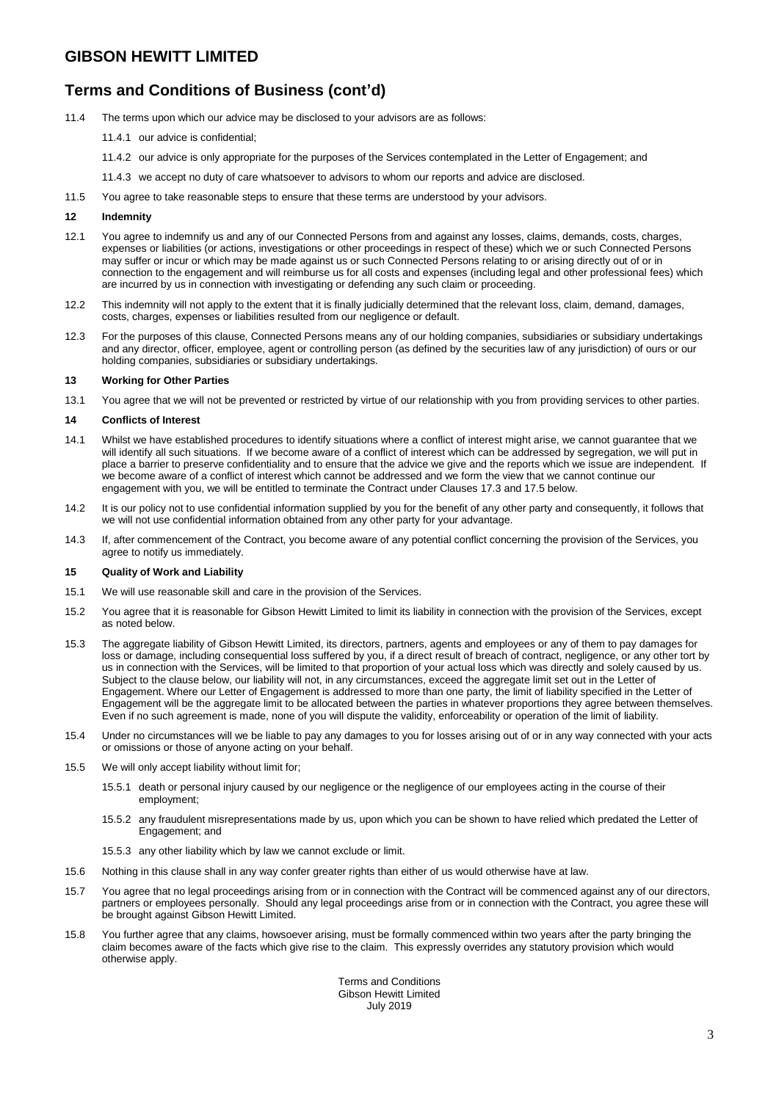## **GIBSON HEWITT LIMITED**

# **Terms and Conditions of Business (cont'd)**

- 11.4 The terms upon which our advice may be disclosed to your advisors are as follows:
	- 11.4.1 our advice is confidential;
	- 11.4.2 our advice is only appropriate for the purposes of the Services contemplated in the Letter of Engagement; and
	- 11.4.3 we accept no duty of care whatsoever to advisors to whom our reports and advice are disclosed.
- 11.5 You agree to take reasonable steps to ensure that these terms are understood by your advisors.

#### **12 Indemnity**

- 12.1 You agree to indemnify us and any of our Connected Persons from and against any losses, claims, demands, costs, charges, expenses or liabilities (or actions, investigations or other proceedings in respect of these) which we or such Connected Persons may suffer or incur or which may be made against us or such Connected Persons relating to or arising directly out of or in connection to the engagement and will reimburse us for all costs and expenses (including legal and other professional fees) which are incurred by us in connection with investigating or defending any such claim or proceeding.
- 12.2 This indemnity will not apply to the extent that it is finally judicially determined that the relevant loss, claim, demand, damages, costs, charges, expenses or liabilities resulted from our negligence or default.
- 12.3 For the purposes of this clause, Connected Persons means any of our holding companies, subsidiaries or subsidiary undertakings and any director, officer, employee, agent or controlling person (as defined by the securities law of any jurisdiction) of ours or our holding companies, subsidiaries or subsidiary undertakings.

### **13 Working for Other Parties**

13.1 You agree that we will not be prevented or restricted by virtue of our relationship with you from providing services to other parties.

#### **14 Conflicts of Interest**

- 14.1 Whilst we have established procedures to identify situations where a conflict of interest might arise, we cannot guarantee that we will identify all such situations. If we become aware of a conflict of interest which can be addressed by segregation, we will put in place a barrier to preserve confidentiality and to ensure that the advice we give and the reports which we issue are independent. If we become aware of a conflict of interest which cannot be addressed and we form the view that we cannot continue our engagement with you, we will be entitled to terminate the Contract under Clauses 17.3 and 17.5 below.
- 14.2 It is our policy not to use confidential information supplied by you for the benefit of any other party and consequently, it follows that we will not use confidential information obtained from any other party for your advantage.
- 14.3 If, after commencement of the Contract, you become aware of any potential conflict concerning the provision of the Services, you agree to notify us immediately.

### **15 Quality of Work and Liability**

- 15.1 We will use reasonable skill and care in the provision of the Services.
- 15.2 You agree that it is reasonable for Gibson Hewitt Limited to limit its liability in connection with the provision of the Services, except as noted below.
- 15.3 The aggregate liability of Gibson Hewitt Limited, its directors, partners, agents and employees or any of them to pay damages for loss or damage, including consequential loss suffered by you, if a direct result of breach of contract, negligence, or any other tort by us in connection with the Services, will be limited to that proportion of your actual loss which was directly and solely caused by us. Subject to the clause below, our liability will not, in any circumstances, exceed the aggregate limit set out in the Letter of Engagement. Where our Letter of Engagement is addressed to more than one party, the limit of liability specified in the Letter of Engagement will be the aggregate limit to be allocated between the parties in whatever proportions they agree between themselves. Even if no such agreement is made, none of you will dispute the validity, enforceability or operation of the limit of liability.
- 15.4 Under no circumstances will we be liable to pay any damages to you for losses arising out of or in any way connected with your acts or omissions or those of anyone acting on your behalf.
- 15.5 We will only accept liability without limit for;
	- 15.5.1 death or personal injury caused by our negligence or the negligence of our employees acting in the course of their employment;
	- 15.5.2 any fraudulent misrepresentations made by us, upon which you can be shown to have relied which predated the Letter of Engagement; and
	- 15.5.3 any other liability which by law we cannot exclude or limit.
- 15.6 Nothing in this clause shall in any way confer greater rights than either of us would otherwise have at law.
- 15.7 You agree that no legal proceedings arising from or in connection with the Contract will be commenced against any of our directors, partners or employees personally. Should any legal proceedings arise from or in connection with the Contract, you agree these will be brought against Gibson Hewitt Limited.
- 15.8 You further agree that any claims, howsoever arising, must be formally commenced within two years after the party bringing the claim becomes aware of the facts which give rise to the claim. This expressly overrides any statutory provision which would otherwise apply.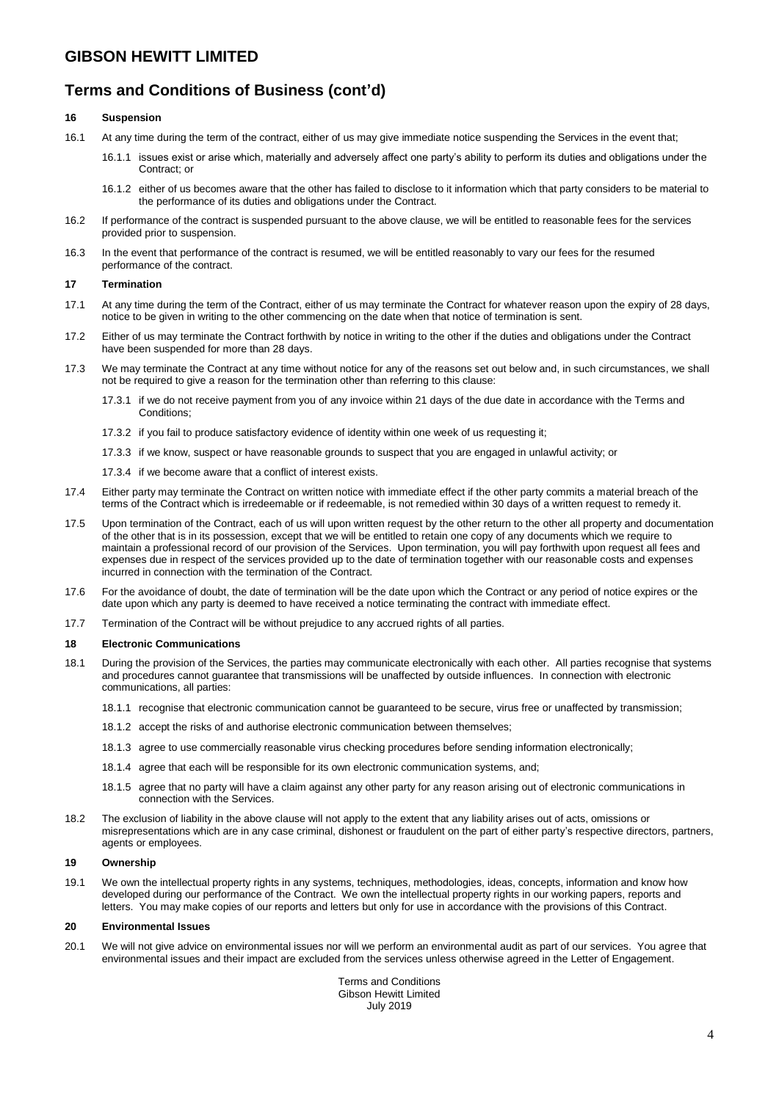## **GIBSON HEWITT LIMITED**

## **Terms and Conditions of Business (cont'd)**

### **16 Suspension**

- 16.1 At any time during the term of the contract, either of us may give immediate notice suspending the Services in the event that;
	- 16.1.1 issues exist or arise which, materially and adversely affect one party's ability to perform its duties and obligations under the Contract; or
	- 16.1.2 either of us becomes aware that the other has failed to disclose to it information which that party considers to be material to the performance of its duties and obligations under the Contract.
- 16.2 If performance of the contract is suspended pursuant to the above clause, we will be entitled to reasonable fees for the services provided prior to suspension.
- 16.3 In the event that performance of the contract is resumed, we will be entitled reasonably to vary our fees for the resumed performance of the contract.

### **17 Termination**

- 17.1 At any time during the term of the Contract, either of us may terminate the Contract for whatever reason upon the expiry of 28 days, notice to be given in writing to the other commencing on the date when that notice of termination is sent.
- 17.2 Either of us may terminate the Contract forthwith by notice in writing to the other if the duties and obligations under the Contract have been suspended for more than 28 days.
- 17.3 We may terminate the Contract at any time without notice for any of the reasons set out below and, in such circumstances, we shall not be required to give a reason for the termination other than referring to this clause:
	- 17.3.1 if we do not receive payment from you of any invoice within 21 days of the due date in accordance with the Terms and Conditions;
	- 17.3.2 if you fail to produce satisfactory evidence of identity within one week of us requesting it;
	- 17.3.3 if we know, suspect or have reasonable grounds to suspect that you are engaged in unlawful activity; or
	- 17.3.4 if we become aware that a conflict of interest exists.
- 17.4 Either party may terminate the Contract on written notice with immediate effect if the other party commits a material breach of the terms of the Contract which is irredeemable or if redeemable, is not remedied within 30 days of a written request to remedy it.
- 17.5 Upon termination of the Contract, each of us will upon written request by the other return to the other all property and documentation of the other that is in its possession, except that we will be entitled to retain one copy of any documents which we require to maintain a professional record of our provision of the Services. Upon termination, you will pay forthwith upon request all fees and expenses due in respect of the services provided up to the date of termination together with our reasonable costs and expenses incurred in connection with the termination of the Contract.
- 17.6 For the avoidance of doubt, the date of termination will be the date upon which the Contract or any period of notice expires or the date upon which any party is deemed to have received a notice terminating the contract with immediate effect.
- 17.7 Termination of the Contract will be without prejudice to any accrued rights of all parties.

### **18 Electronic Communications**

- 18.1 During the provision of the Services, the parties may communicate electronically with each other. All parties recognise that systems and procedures cannot guarantee that transmissions will be unaffected by outside influences. In connection with electronic communications, all parties:
	- 18.1.1 recognise that electronic communication cannot be guaranteed to be secure, virus free or unaffected by transmission;
	- 18.1.2 accept the risks of and authorise electronic communication between themselves;
	- 18.1.3 agree to use commercially reasonable virus checking procedures before sending information electronically;
	- 18.1.4 agree that each will be responsible for its own electronic communication systems, and;
	- 18.1.5 agree that no party will have a claim against any other party for any reason arising out of electronic communications in connection with the Services.
- 18.2 The exclusion of liability in the above clause will not apply to the extent that any liability arises out of acts, omissions or misrepresentations which are in any case criminal, dishonest or fraudulent on the part of either party's respective directors, partners, agents or employees.

### **19 Ownership**

19.1 We own the intellectual property rights in any systems, techniques, methodologies, ideas, concepts, information and know how developed during our performance of the Contract. We own the intellectual property rights in our working papers, reports and letters. You may make copies of our reports and letters but only for use in accordance with the provisions of this Contract.

### **20 Environmental Issues**

20.1 We will not give advice on environmental issues nor will we perform an environmental audit as part of our services. You agree that environmental issues and their impact are excluded from the services unless otherwise agreed in the Letter of Engagement.